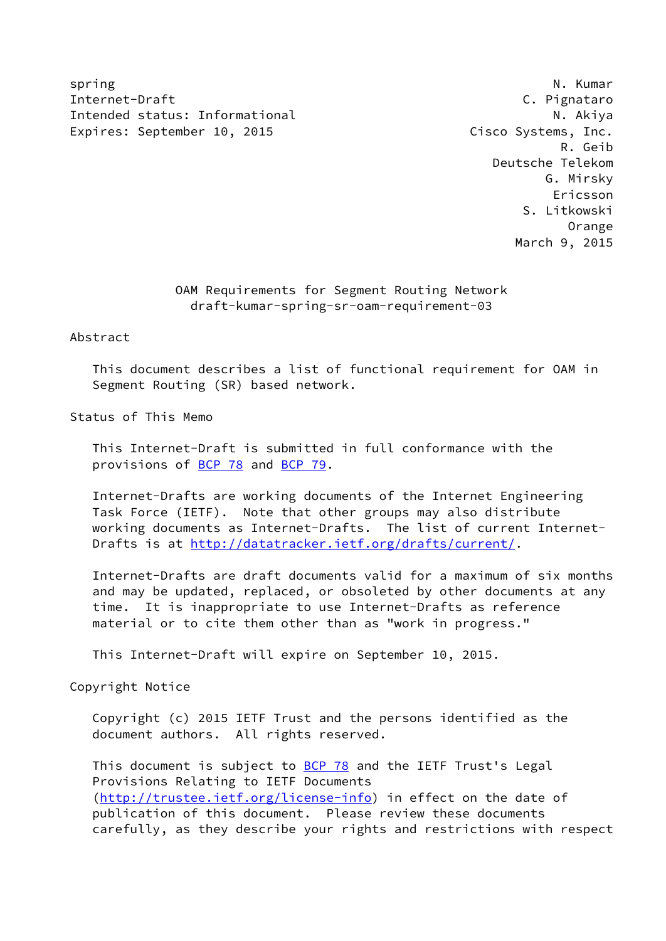spring N. Kumar (1999) and the set of the set of the set of the set of the set of the set of the set of the se Internet-Draft C. Pignataro Intended status: Informational N. Akiya Expires: September 10, 2015 Cisco Systems, Inc.

 R. Geib Deutsche Telekom G. Mirsky Ericsson S. Litkowski Orange March 9, 2015

> OAM Requirements for Segment Routing Network draft-kumar-spring-sr-oam-requirement-03

Abstract

 This document describes a list of functional requirement for OAM in Segment Routing (SR) based network.

Status of This Memo

 This Internet-Draft is submitted in full conformance with the provisions of [BCP 78](https://datatracker.ietf.org/doc/pdf/bcp78) and [BCP 79](https://datatracker.ietf.org/doc/pdf/bcp79).

 Internet-Drafts are working documents of the Internet Engineering Task Force (IETF). Note that other groups may also distribute working documents as Internet-Drafts. The list of current Internet- Drafts is at<http://datatracker.ietf.org/drafts/current/>.

 Internet-Drafts are draft documents valid for a maximum of six months and may be updated, replaced, or obsoleted by other documents at any time. It is inappropriate to use Internet-Drafts as reference material or to cite them other than as "work in progress."

This Internet-Draft will expire on September 10, 2015.

Copyright Notice

 Copyright (c) 2015 IETF Trust and the persons identified as the document authors. All rights reserved.

This document is subject to **[BCP 78](https://datatracker.ietf.org/doc/pdf/bcp78)** and the IETF Trust's Legal Provisions Relating to IETF Documents [\(http://trustee.ietf.org/license-info](http://trustee.ietf.org/license-info)) in effect on the date of publication of this document. Please review these documents carefully, as they describe your rights and restrictions with respect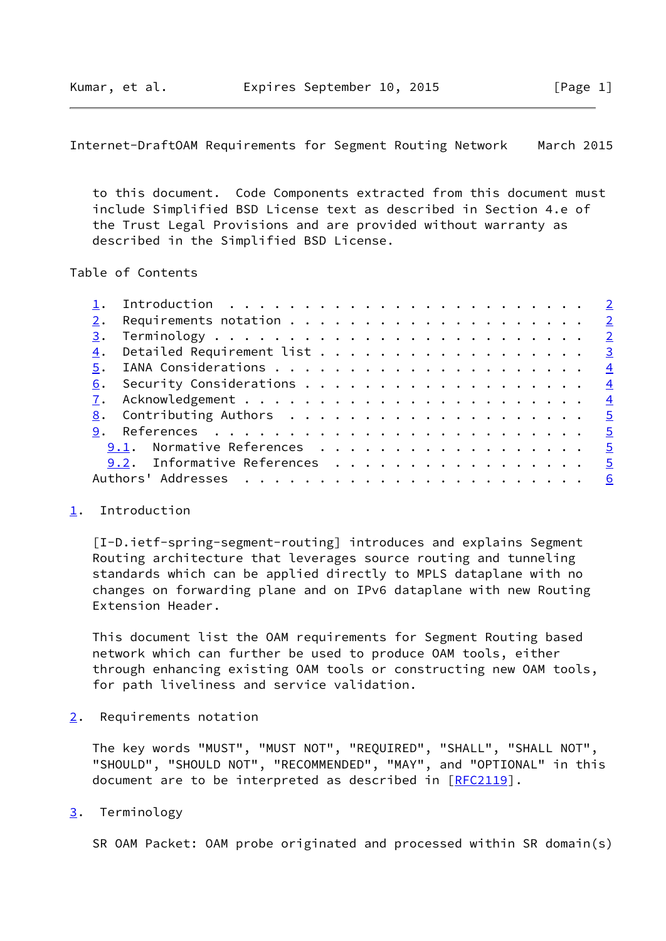<span id="page-1-1"></span>Internet-DraftOAM Requirements for Segment Routing Network March 2015

 to this document. Code Components extracted from this document must include Simplified BSD License text as described in Section 4.e of the Trust Legal Provisions and are provided without warranty as described in the Simplified BSD License.

## Table of Contents

|  | $\underline{4}$ . Detailed Requirement list 3 |  |  |  |  |  |  |  |  |  |  |
|--|-----------------------------------------------|--|--|--|--|--|--|--|--|--|--|
|  |                                               |  |  |  |  |  |  |  |  |  |  |
|  |                                               |  |  |  |  |  |  |  |  |  |  |
|  |                                               |  |  |  |  |  |  |  |  |  |  |
|  |                                               |  |  |  |  |  |  |  |  |  |  |
|  | <u> 9</u> . References <u>5</u>               |  |  |  |  |  |  |  |  |  |  |
|  | 9.1. Normative References 5                   |  |  |  |  |  |  |  |  |  |  |
|  | 9.2. Informative References 5                 |  |  |  |  |  |  |  |  |  |  |
|  |                                               |  |  |  |  |  |  |  |  |  |  |
|  |                                               |  |  |  |  |  |  |  |  |  |  |

## <span id="page-1-0"></span>[1](#page-1-0). Introduction

 [I-D.ietf-spring-segment-routing] introduces and explains Segment Routing architecture that leverages source routing and tunneling standards which can be applied directly to MPLS dataplane with no changes on forwarding plane and on IPv6 dataplane with new Routing Extension Header.

 This document list the OAM requirements for Segment Routing based network which can further be used to produce OAM tools, either through enhancing existing OAM tools or constructing new OAM tools, for path liveliness and service validation.

<span id="page-1-2"></span>[2](#page-1-2). Requirements notation

 The key words "MUST", "MUST NOT", "REQUIRED", "SHALL", "SHALL NOT", "SHOULD", "SHOULD NOT", "RECOMMENDED", "MAY", and "OPTIONAL" in this document are to be interpreted as described in [\[RFC2119](https://datatracker.ietf.org/doc/pdf/rfc2119)].

<span id="page-1-3"></span>[3](#page-1-3). Terminology

SR OAM Packet: OAM probe originated and processed within SR domain(s)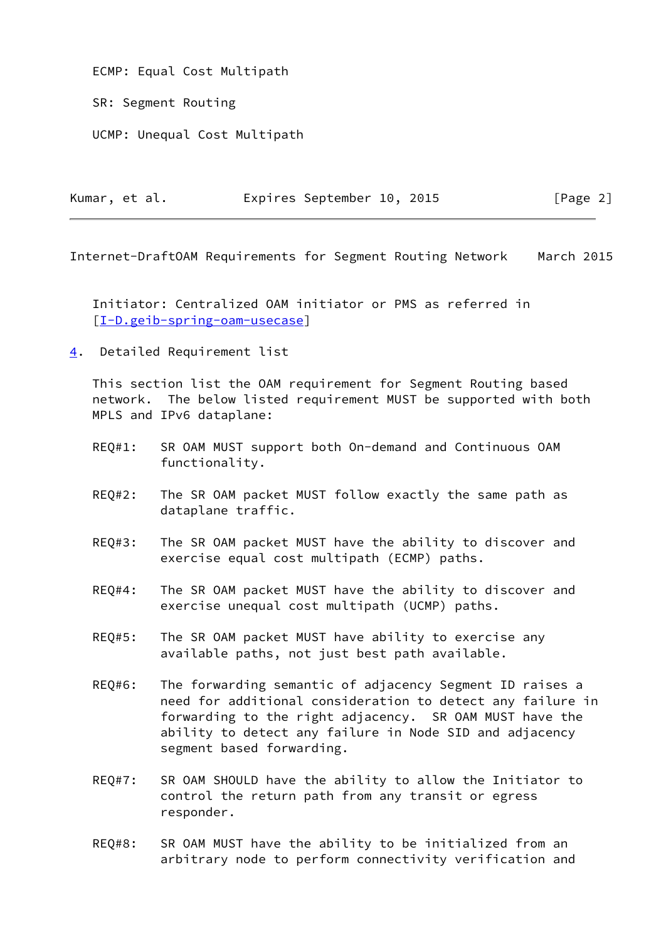ECMP: Equal Cost Multipath

SR: Segment Routing

UCMP: Unequal Cost Multipath

| Kumar, et al. |  | Expires September 10, 2015 |  | [Page 2] |  |
|---------------|--|----------------------------|--|----------|--|
|               |  |                            |  |          |  |

<span id="page-2-1"></span>Internet-DraftOAM Requirements for Segment Routing Network March 2015

 Initiator: Centralized OAM initiator or PMS as referred in [\[I-D.geib-spring-oam-usecase](#page-4-7)]

<span id="page-2-0"></span>[4](#page-2-0). Detailed Requirement list

 This section list the OAM requirement for Segment Routing based network. The below listed requirement MUST be supported with both MPLS and IPv6 dataplane:

- REQ#1: SR OAM MUST support both On-demand and Continuous OAM functionality.
- REQ#2: The SR OAM packet MUST follow exactly the same path as dataplane traffic.
- REQ#3: The SR OAM packet MUST have the ability to discover and exercise equal cost multipath (ECMP) paths.
- REQ#4: The SR OAM packet MUST have the ability to discover and exercise unequal cost multipath (UCMP) paths.
- REQ#5: The SR OAM packet MUST have ability to exercise any available paths, not just best path available.
- REQ#6: The forwarding semantic of adjacency Segment ID raises a need for additional consideration to detect any failure in forwarding to the right adjacency. SR OAM MUST have the ability to detect any failure in Node SID and adjacency segment based forwarding.
- REQ#7: SR OAM SHOULD have the ability to allow the Initiator to control the return path from any transit or egress responder.
- REQ#8: SR OAM MUST have the ability to be initialized from an arbitrary node to perform connectivity verification and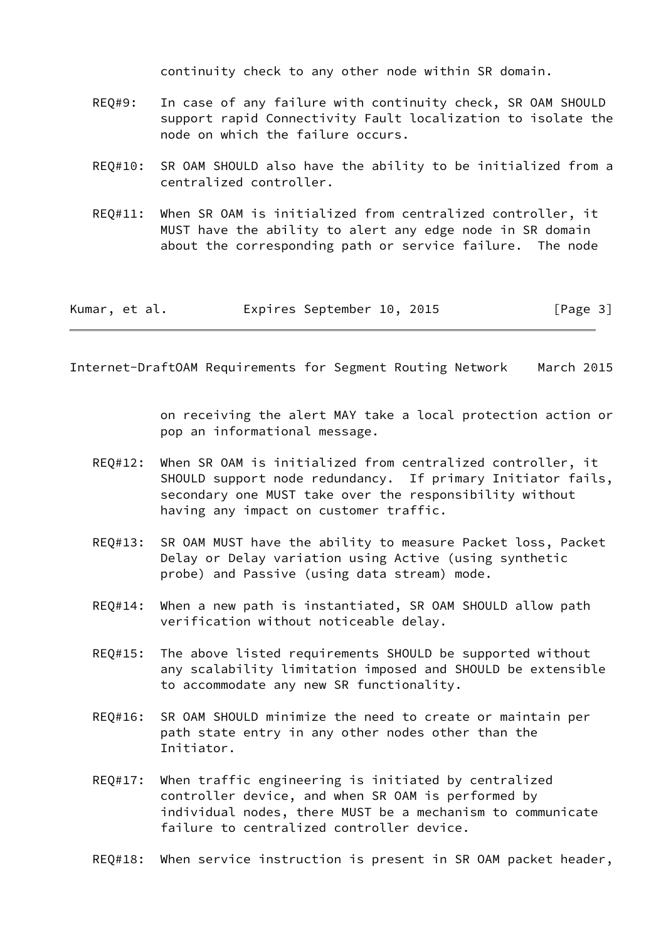continuity check to any other node within SR domain.

- REQ#9: In case of any failure with continuity check, SR OAM SHOULD support rapid Connectivity Fault localization to isolate the node on which the failure occurs.
- REQ#10: SR OAM SHOULD also have the ability to be initialized from a centralized controller.
- REQ#11: When SR OAM is initialized from centralized controller, it MUST have the ability to alert any edge node in SR domain about the corresponding path or service failure. The node

| Kumar, et al. | Expires September 10, 2015 |  | [Page 3] |
|---------------|----------------------------|--|----------|
|---------------|----------------------------|--|----------|

<span id="page-3-0"></span>Internet-DraftOAM Requirements for Segment Routing Network March 2015

 on receiving the alert MAY take a local protection action or pop an informational message.

- REQ#12: When SR OAM is initialized from centralized controller, it SHOULD support node redundancy. If primary Initiator fails, secondary one MUST take over the responsibility without having any impact on customer traffic.
- REQ#13: SR OAM MUST have the ability to measure Packet loss, Packet Delay or Delay variation using Active (using synthetic probe) and Passive (using data stream) mode.
- REQ#14: When a new path is instantiated, SR OAM SHOULD allow path verification without noticeable delay.
- REQ#15: The above listed requirements SHOULD be supported without any scalability limitation imposed and SHOULD be extensible to accommodate any new SR functionality.
- REQ#16: SR OAM SHOULD minimize the need to create or maintain per path state entry in any other nodes other than the Initiator.
- REQ#17: When traffic engineering is initiated by centralized controller device, and when SR OAM is performed by individual nodes, there MUST be a mechanism to communicate failure to centralized controller device.
- REQ#18: When service instruction is present in SR OAM packet header,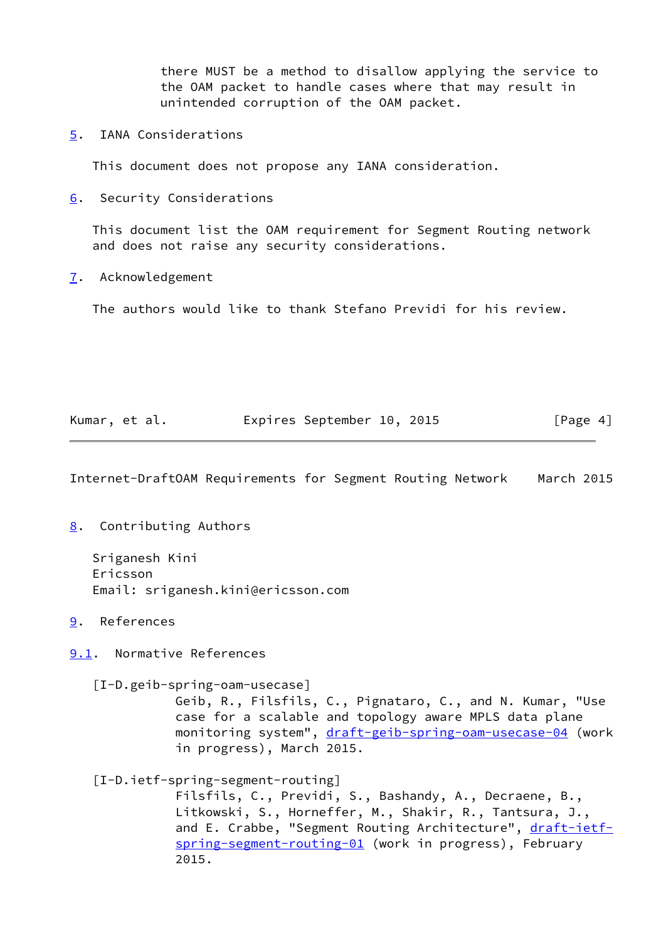there MUST be a method to disallow applying the service to the OAM packet to handle cases where that may result in unintended corruption of the OAM packet.

<span id="page-4-0"></span>[5](#page-4-0). IANA Considerations

This document does not propose any IANA consideration.

<span id="page-4-1"></span>[6](#page-4-1). Security Considerations

 This document list the OAM requirement for Segment Routing network and does not raise any security considerations.

<span id="page-4-2"></span>[7](#page-4-2). Acknowledgement

The authors would like to thank Stefano Previdi for his review.

| Kumar, et al. |  | Expires September 10, 2015 |  | [Page 4] |  |
|---------------|--|----------------------------|--|----------|--|
|               |  |                            |  |          |  |

<span id="page-4-4"></span>Internet-DraftOAM Requirements for Segment Routing Network March 2015

<span id="page-4-3"></span>[8](#page-4-3). Contributing Authors

 Sriganesh Kini Ericsson Email: sriganesh.kini@ericsson.com

<span id="page-4-5"></span>[9](#page-4-5). References

<span id="page-4-6"></span>[9.1](#page-4-6). Normative References

<span id="page-4-7"></span>[I-D.geib-spring-oam-usecase]

 Geib, R., Filsfils, C., Pignataro, C., and N. Kumar, "Use case for a scalable and topology aware MPLS data plane monitoring system", [draft-geib-spring-oam-usecase-04](https://datatracker.ietf.org/doc/pdf/draft-geib-spring-oam-usecase-04) (work in progress), March 2015.

[I-D.ietf-spring-segment-routing]

 Filsfils, C., Previdi, S., Bashandy, A., Decraene, B., Litkowski, S., Horneffer, M., Shakir, R., Tantsura, J., and E. Crabbe, "Segment Routing Architecture", [draft-ietf](https://datatracker.ietf.org/doc/pdf/draft-ietf-spring-segment-routing-01) [spring-segment-routing-01](https://datatracker.ietf.org/doc/pdf/draft-ietf-spring-segment-routing-01) (work in progress), February 2015.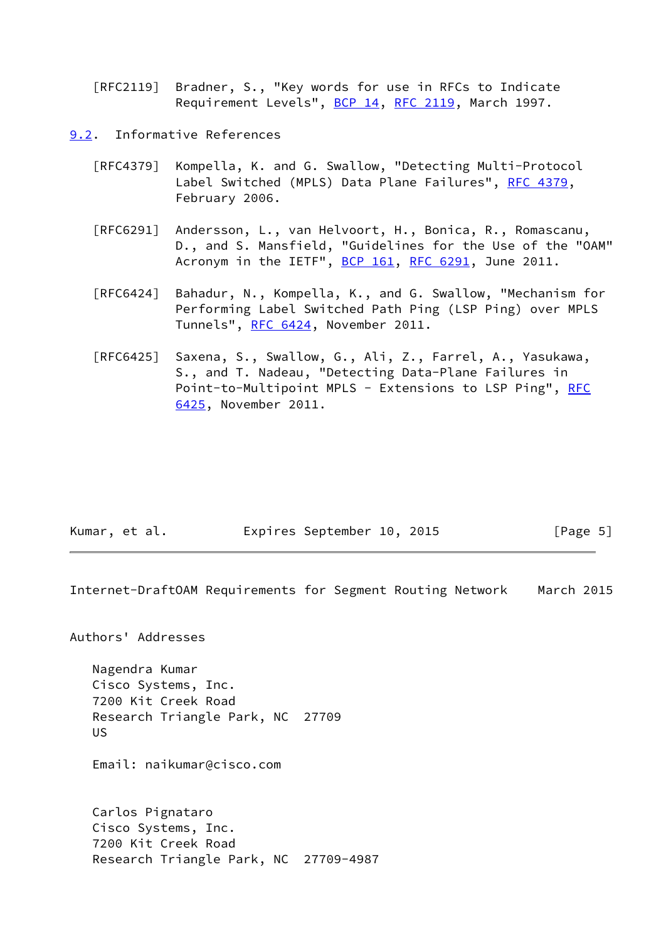[RFC2119] Bradner, S., "Key words for use in RFCs to Indicate Requirement Levels", [BCP 14](https://datatracker.ietf.org/doc/pdf/bcp14), [RFC 2119](https://datatracker.ietf.org/doc/pdf/rfc2119), March 1997.

- <span id="page-5-0"></span>[9.2](#page-5-0). Informative References
	- [RFC4379] Kompella, K. and G. Swallow, "Detecting Multi-Protocol Label Switched (MPLS) Data Plane Failures", [RFC 4379,](https://datatracker.ietf.org/doc/pdf/rfc4379) February 2006.
	- [RFC6291] Andersson, L., van Helvoort, H., Bonica, R., Romascanu, D., and S. Mansfield, "Guidelines for the Use of the "OAM" Acronym in the IETF", [BCP 161](https://datatracker.ietf.org/doc/pdf/bcp161), [RFC 6291](https://datatracker.ietf.org/doc/pdf/rfc6291), June 2011.
	- [RFC6424] Bahadur, N., Kompella, K., and G. Swallow, "Mechanism for Performing Label Switched Path Ping (LSP Ping) over MPLS Tunnels", [RFC 6424](https://datatracker.ietf.org/doc/pdf/rfc6424), November 2011.
	- [RFC6425] Saxena, S., Swallow, G., Ali, Z., Farrel, A., Yasukawa, S., and T. Nadeau, "Detecting Data-Plane Failures in Point-to-Multipoint MPLS - Extensions to LSP Ping", [RFC](https://datatracker.ietf.org/doc/pdf/rfc6425) [6425,](https://datatracker.ietf.org/doc/pdf/rfc6425) November 2011.

| Kumar, et al. |  | Expires September 10, 2015 |  |  | [Page 5] |  |
|---------------|--|----------------------------|--|--|----------|--|
|---------------|--|----------------------------|--|--|----------|--|

<span id="page-5-1"></span>Internet-DraftOAM Requirements for Segment Routing Network March 2015

Authors' Addresses

 Nagendra Kumar Cisco Systems, Inc. 7200 Kit Creek Road Research Triangle Park, NC 27709 US

Email: naikumar@cisco.com

 Carlos Pignataro Cisco Systems, Inc. 7200 Kit Creek Road Research Triangle Park, NC 27709-4987